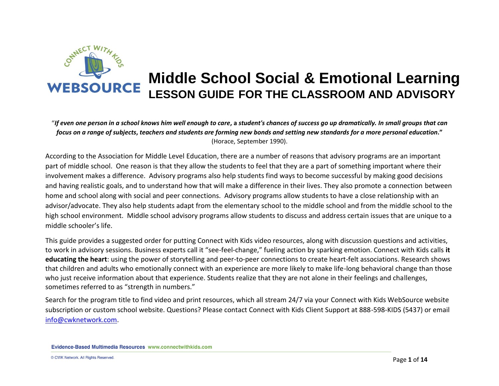

## **Middle School Social & Emotional Learning LESSON GUIDE FOR THE CLASSROOM AND ADVISORY**

**"***If even one person in a school knows him well enough to care***, a** *student's chances of success go up dramatically. In small groups that can focus on a range of subjects***,** *teachers and students are forming new bonds and setting new standards for a more personal education***."** (Horace, September 1990).

According to the Association for Middle Level Education, there are a number of reasons that advisory programs are an important part of middle school. One reason is that they allow the students to feel that they are a part of something important where their involvement makes a difference. Advisory programs also help students find ways to become successful by making good decisions and having realistic goals, and to understand how that will make a difference in their lives. They also promote a connection between home and school along with social and peer connections. Advisory programs allow students to have a close relationship with an advisor/advocate. They also help students adapt from the elementary school to the middle school and from the middle school to the high school environment. Middle school advisory programs allow students to discuss and address certain issues that are unique to a middle schooler's life.

This guide provides a suggested order for putting Connect with Kids video resources, along with discussion questions and activities, to work in advisory sessions. Business experts call it "see-feel-change," fueling action by sparking emotion. Connect with Kids calls **it educating the heart**: using the power of storytelling and peer-to-peer connections to create heart-felt associations. Research shows that children and adults who emotionally connect with an experience are more likely to make life-long behavioral change than those who just receive information about that experience. Students realize that they are not alone in their feelings and challenges, sometimes referred to as "strength in numbers."

Search for the program title to find video and print resources, which all stream 24/7 via your Connect with Kids WebSource website subscription or custom school website. Questions? Please contact Connect with Kids Client Support at 888-598-KIDS (5437) or email [info@cwknetwork.com.](mailto:info@cwknetwork.com)

© CWK Network. All Rights Reserved.

Evidence-Based Multimedia Resources www.connectwithkids.com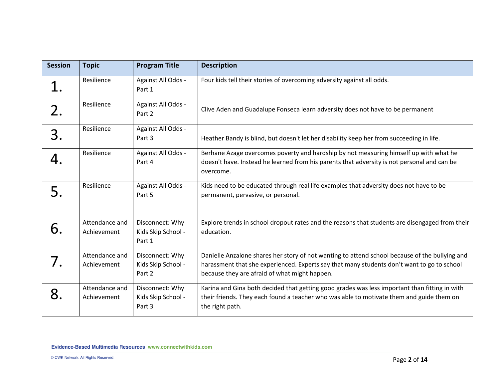| <b>Session</b> | <b>Topic</b>                  | <b>Program Title</b>                            | <b>Description</b>                                                                                                                                                                                                                            |
|----------------|-------------------------------|-------------------------------------------------|-----------------------------------------------------------------------------------------------------------------------------------------------------------------------------------------------------------------------------------------------|
| 1.             | Resilience                    | Against All Odds -<br>Part 1                    | Four kids tell their stories of overcoming adversity against all odds.                                                                                                                                                                        |
| 2.             | Resilience                    | Against All Odds -<br>Part 2                    | Clive Aden and Guadalupe Fonseca learn adversity does not have to be permanent                                                                                                                                                                |
| 3.             | Resilience                    | Against All Odds -<br>Part 3                    | Heather Bandy is blind, but doesn't let her disability keep her from succeeding in life.                                                                                                                                                      |
| 4.             | Resilience                    | Against All Odds -<br>Part 4                    | Berhane Azage overcomes poverty and hardship by not measuring himself up with what he<br>doesn't have. Instead he learned from his parents that adversity is not personal and can be<br>overcome.                                             |
| 5.             | Resilience                    | Against All Odds -<br>Part 5                    | Kids need to be educated through real life examples that adversity does not have to be<br>permanent, pervasive, or personal.                                                                                                                  |
| 6.             | Attendance and<br>Achievement | Disconnect: Why<br>Kids Skip School -<br>Part 1 | Explore trends in school dropout rates and the reasons that students are disengaged from their<br>education.                                                                                                                                  |
| 7.             | Attendance and<br>Achievement | Disconnect: Why<br>Kids Skip School -<br>Part 2 | Danielle Anzalone shares her story of not wanting to attend school because of the bullying and<br>harassment that she experienced. Experts say that many students don't want to go to school<br>because they are afraid of what might happen. |
| 8.             | Attendance and<br>Achievement | Disconnect: Why<br>Kids Skip School -<br>Part 3 | Karina and Gina both decided that getting good grades was less important than fitting in with<br>their friends. They each found a teacher who was able to motivate them and guide them on<br>the right path.                                  |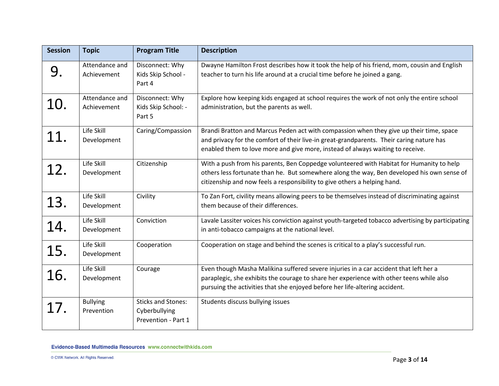| <b>Session</b> | <b>Topic</b>                  | <b>Program Title</b>                                              | <b>Description</b>                                                                                                                                                                                                                                                    |
|----------------|-------------------------------|-------------------------------------------------------------------|-----------------------------------------------------------------------------------------------------------------------------------------------------------------------------------------------------------------------------------------------------------------------|
| 9.             | Attendance and<br>Achievement | Disconnect: Why<br>Kids Skip School -<br>Part 4                   | Dwayne Hamilton Frost describes how it took the help of his friend, mom, cousin and English<br>teacher to turn his life around at a crucial time before he joined a gang.                                                                                             |
| 10.            | Attendance and<br>Achievement | Disconnect: Why<br>Kids Skip School: -<br>Part 5                  | Explore how keeping kids engaged at school requires the work of not only the entire school<br>administration, but the parents as well.                                                                                                                                |
| 11.            | Life Skill<br>Development     | Caring/Compassion                                                 | Brandi Bratton and Marcus Peden act with compassion when they give up their time, space<br>and privacy for the comfort of their live-in great-grandparents. Their caring nature has<br>enabled them to love more and give more, instead of always waiting to receive. |
| 12.            | Life Skill<br>Development     | Citizenship                                                       | With a push from his parents, Ben Coppedge volunteered with Habitat for Humanity to help<br>others less fortunate than he. But somewhere along the way, Ben developed his own sense of<br>citizenship and now feels a responsibility to give others a helping hand.   |
| 13.            | Life Skill<br>Development     | Civility                                                          | To Zan Fort, civility means allowing peers to be themselves instead of discriminating against<br>them because of their differences.                                                                                                                                   |
| 14.            | Life Skill<br>Development     | Conviction                                                        | Lavale Lassiter voices his conviction against youth-targeted tobacco advertising by participating<br>in anti-tobacco campaigns at the national level.                                                                                                                 |
| 15.            | Life Skill<br>Development     | Cooperation                                                       | Cooperation on stage and behind the scenes is critical to a play's successful run.                                                                                                                                                                                    |
| 16.            | Life Skill<br>Development     | Courage                                                           | Even though Masha Malikina suffered severe injuries in a car accident that left her a<br>paraplegic, she exhibits the courage to share her experience with other teens while also<br>pursuing the activities that she enjoyed before her life-altering accident.      |
| 17.            | <b>Bullying</b><br>Prevention | <b>Sticks and Stones:</b><br>Cyberbullying<br>Prevention - Part 1 | Students discuss bullying issues                                                                                                                                                                                                                                      |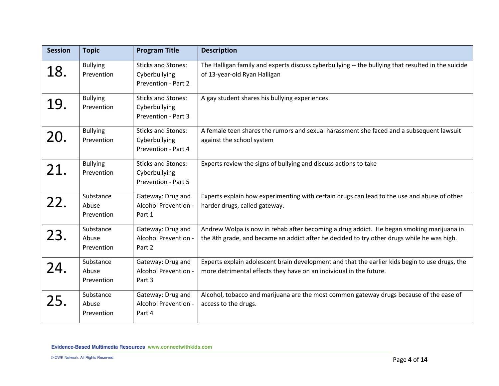| <b>Session</b> | <b>Topic</b>                     | <b>Program Title</b>                                              | <b>Description</b>                                                                                                                                                                     |
|----------------|----------------------------------|-------------------------------------------------------------------|----------------------------------------------------------------------------------------------------------------------------------------------------------------------------------------|
| 18.            | <b>Bullying</b><br>Prevention    | <b>Sticks and Stones:</b><br>Cyberbullying<br>Prevention - Part 2 | The Halligan family and experts discuss cyberbullying -- the bullying that resulted in the suicide<br>of 13-year-old Ryan Halligan                                                     |
| 19.            | <b>Bullying</b><br>Prevention    | <b>Sticks and Stones:</b><br>Cyberbullying<br>Prevention - Part 3 | A gay student shares his bullying experiences                                                                                                                                          |
| 20.            | <b>Bullying</b><br>Prevention    | <b>Sticks and Stones:</b><br>Cyberbullying<br>Prevention - Part 4 | A female teen shares the rumors and sexual harassment she faced and a subsequent lawsuit<br>against the school system                                                                  |
| 21.            | <b>Bullying</b><br>Prevention    | <b>Sticks and Stones:</b><br>Cyberbullying<br>Prevention - Part 5 | Experts review the signs of bullying and discuss actions to take                                                                                                                       |
| 22.            | Substance<br>Abuse<br>Prevention | Gateway: Drug and<br>Alcohol Prevention -<br>Part 1               | Experts explain how experimenting with certain drugs can lead to the use and abuse of other<br>harder drugs, called gateway.                                                           |
| 23.            | Substance<br>Abuse<br>Prevention | Gateway: Drug and<br>Alcohol Prevention -<br>Part 2               | Andrew Wolpa is now in rehab after becoming a drug addict. He began smoking marijuana in<br>the 8th grade, and became an addict after he decided to try other drugs while he was high. |
| 24.            | Substance<br>Abuse<br>Prevention | Gateway: Drug and<br>Alcohol Prevention -<br>Part 3               | Experts explain adolescent brain development and that the earlier kids begin to use drugs, the<br>more detrimental effects they have on an individual in the future.                   |
| 25.            | Substance<br>Abuse<br>Prevention | Gateway: Drug and<br>Alcohol Prevention -<br>Part 4               | Alcohol, tobacco and marijuana are the most common gateway drugs because of the ease of<br>access to the drugs.                                                                        |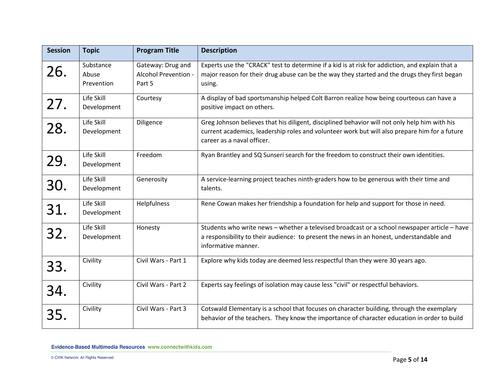| <b>Session</b> | <b>Topic</b>                     | <b>Program Title</b>                                | <b>Description</b>                                                                                                                                                                                                           |
|----------------|----------------------------------|-----------------------------------------------------|------------------------------------------------------------------------------------------------------------------------------------------------------------------------------------------------------------------------------|
| 26.            | Substance<br>Abuse<br>Prevention | Gateway: Drug and<br>Alcohol Prevention -<br>Part 5 | Experts use the "CRACK" test to determine if a kid is at risk for addiction, and explain that a<br>major reason for their drug abuse can be the way they started and the drugs they first began<br>using.                    |
| 27.            | Life Skill<br>Development        | Courtesy                                            | A display of bad sportsmanship helped Colt Barron realize how being courteous can have a<br>positive impact on others.                                                                                                       |
| 28.            | Life Skill<br>Development        | Diligence                                           | Greg Johnson believes that his diligent, disciplined behavior will not only help him with his<br>current academics, leadership roles and volunteer work but will also prepare him for a future<br>career as a naval officer. |
| 29.            | Life Skill<br>Development        | Freedom                                             | Ryan Brantley and SQ Sunseri search for the freedom to construct their own identities.                                                                                                                                       |
| 30.            | Life Skill<br>Development        | Generosity                                          | A service-learning project teaches ninth-graders how to be generous with their time and<br>talents.                                                                                                                          |
| 31.            | Life Skill<br>Development        | Helpfulness                                         | Rene Cowan makes her friendship a foundation for help and support for those in need.                                                                                                                                         |
| 32.            | Life Skill<br>Development        | Honesty                                             | Students who write news - whether a televised broadcast or a school newspaper article - have<br>a responsibility to their audience: to present the news in an honest, understandable and<br>informative manner.              |
| 33.            | Civility                         | Civil Wars - Part 1                                 | Explore why kids today are deemed less respectful than they were 30 years ago.                                                                                                                                               |
| 34.            | Civility                         | Civil Wars - Part 2                                 | Experts say feelings of isolation may cause less "civil" or respectful behaviors.                                                                                                                                            |
| 35.            | Civility                         | Civil Wars - Part 3                                 | Cotswald Elementary is a school that focuses on character building, through the exemplary<br>behavior of the teachers. They know the importance of character education in order to build                                     |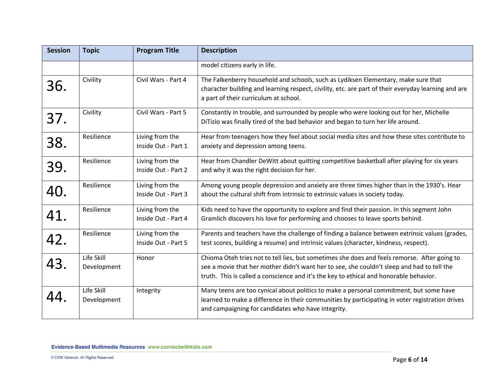| <b>Session</b> | <b>Topic</b>              | <b>Program Title</b>                   | <b>Description</b>                                                                                                                                                                                                                                                                   |
|----------------|---------------------------|----------------------------------------|--------------------------------------------------------------------------------------------------------------------------------------------------------------------------------------------------------------------------------------------------------------------------------------|
|                |                           |                                        | model citizens early in life.                                                                                                                                                                                                                                                        |
| 36.            | Civility                  | Civil Wars - Part 4                    | The Falkenberry household and schools, such as Lydiksen Elementary, make sure that<br>character building and learning respect, civility, etc. are part of their everyday learning and are<br>a part of their curriculum at school.                                                   |
| 37.            | Civility                  | Civil Wars - Part 5                    | Constantly in trouble, and surrounded by people who were looking out for her, Michelle<br>DiTizio was finally tired of the bad behavior and began to turn her life around.                                                                                                           |
| 38.            | Resilience                | Living from the<br>Inside Out - Part 1 | Hear from teenagers how they feel about social media sites and how these sites contribute to<br>anxiety and depression among teens.                                                                                                                                                  |
| 39.            | Resilience                | Living from the<br>Inside Out - Part 2 | Hear from Chandler DeWitt about quitting competitive basketball after playing for six years<br>and why it was the right decision for her.                                                                                                                                            |
| 40.            | Resilience                | Living from the<br>Inside Out - Part 3 | Among young people depression and anxiety are three times higher than in the 1930's. Hear<br>about the cultural shift from intrinsic to extrinsic values in society today.                                                                                                           |
| 41.            | Resilience                | Living from the<br>Inside Out - Part 4 | Kids need to have the opportunity to explore and find their passion. In this segment John<br>Gramlich discovers his love for performing and chooses to leave sports behind.                                                                                                          |
| 42.            | Resilience                | Living from the<br>Inside Out - Part 5 | Parents and teachers have the challenge of finding a balance between extrinsic values (grades,<br>test scores, building a resume) and intrinsic values (character, kindness, respect).                                                                                               |
| 43.            | Life Skill<br>Development | Honor                                  | Chioma Oteh tries not to tell lies, but sometimes she does and feels remorse. After going to<br>see a movie that her mother didn't want her to see, she couldn't sleep and had to tell the<br>truth. This is called a conscience and it's the key to ethical and honorable behavior. |
| 44             | Life Skill<br>Development | Integrity                              | Many teens are too cynical about politics to make a personal commitment, but some have<br>learned to make a difference in their communities by participating in voter registration drives<br>and campaigning for candidates who have integrity.                                      |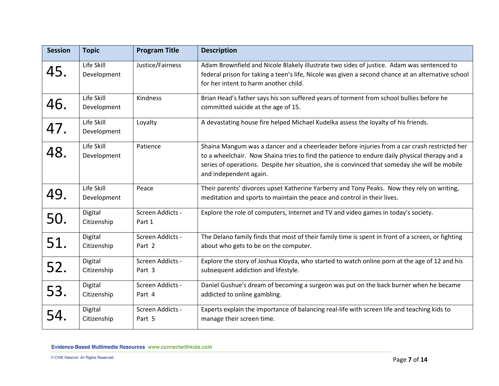| <b>Session</b>    | <b>Topic</b>              | <b>Program Title</b>       | <b>Description</b>                                                                                                                                                                                                                                                                                                       |
|-------------------|---------------------------|----------------------------|--------------------------------------------------------------------------------------------------------------------------------------------------------------------------------------------------------------------------------------------------------------------------------------------------------------------------|
| 45.               | Life Skill<br>Development | Justice/Fairness           | Adam Brownfield and Nicole Blakely illustrate two sides of justice. Adam was sentenced to<br>federal prison for taking a teen's life, Nicole was given a second chance at an alternative school<br>for her intent to harm another child.                                                                                 |
| 46.               | Life Skill<br>Development | Kindness                   | Brian Head's father says his son suffered years of torment from school bullies before he<br>committed suicide at the age of 15.                                                                                                                                                                                          |
| $\overline{47}$ . | Life Skill<br>Development | Loyalty                    | A devastating house fire helped Michael Kudelka assess the loyalty of his friends.                                                                                                                                                                                                                                       |
| $\overline{48}$ . | Life Skill<br>Development | Patience                   | Shaina Mangum was a dancer and a cheerleader before injuries from a car crash restricted her<br>to a wheelchair. Now Shaina tries to find the patience to endure daily physical therapy and a<br>series of operations. Despite her situation, she is convinced that someday she will be mobile<br>and independent again. |
| 49.               | Life Skill<br>Development | Peace                      | Their parents' divorces upset Katherine Yarberry and Tony Peaks. Now they rely on writing,<br>meditation and sports to maintain the peace and control in their lives.                                                                                                                                                    |
| 50.               | Digital<br>Citizenship    | Screen Addicts -<br>Part 1 | Explore the role of computers, Internet and TV and video games in today's society.                                                                                                                                                                                                                                       |
| 51.               | Digital<br>Citizenship    | Screen Addicts -<br>Part 2 | The Delano family finds that most of their family time is spent in front of a screen, or fighting<br>about who gets to be on the computer.                                                                                                                                                                               |
| 52.               | Digital<br>Citizenship    | Screen Addicts -<br>Part 3 | Explore the story of Joshua Kloyda, who started to watch online porn at the age of 12 and his<br>subsequent addiction and lifestyle.                                                                                                                                                                                     |
| 53.               | Digital<br>Citizenship    | Screen Addicts -<br>Part 4 | Daniel Gushue's dream of becoming a surgeon was put on the back burner when he became<br>addicted to online gambling.                                                                                                                                                                                                    |
| 54.               | Digital<br>Citizenship    | Screen Addicts -<br>Part 5 | Experts explain the importance of balancing real-life with screen life and teaching kids to<br>manage their screen time.                                                                                                                                                                                                 |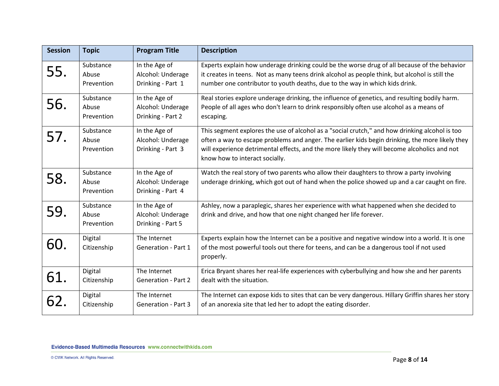| <b>Session</b> | <b>Topic</b>                     | <b>Program Title</b>                                    | <b>Description</b>                                                                                                                                                                                                                                                                                                                  |
|----------------|----------------------------------|---------------------------------------------------------|-------------------------------------------------------------------------------------------------------------------------------------------------------------------------------------------------------------------------------------------------------------------------------------------------------------------------------------|
| 55.            | Substance<br>Abuse<br>Prevention | In the Age of<br>Alcohol: Underage<br>Drinking - Part 1 | Experts explain how underage drinking could be the worse drug of all because of the behavior<br>it creates in teens. Not as many teens drink alcohol as people think, but alcohol is still the<br>number one contributor to youth deaths, due to the way in which kids drink.                                                       |
| 56.            | Substance<br>Abuse<br>Prevention | In the Age of<br>Alcohol: Underage<br>Drinking - Part 2 | Real stories explore underage drinking, the influence of genetics, and resulting bodily harm.<br>People of all ages who don't learn to drink responsibly often use alcohol as a means of<br>escaping.                                                                                                                               |
| 57.            | Substance<br>Abuse<br>Prevention | In the Age of<br>Alcohol: Underage<br>Drinking - Part 3 | This segment explores the use of alcohol as a "social crutch," and how drinking alcohol is too<br>often a way to escape problems and anger. The earlier kids begin drinking, the more likely they<br>will experience detrimental effects, and the more likely they will become alcoholics and not<br>know how to interact socially. |
| 58.            | Substance<br>Abuse<br>Prevention | In the Age of<br>Alcohol: Underage<br>Drinking - Part 4 | Watch the real story of two parents who allow their daughters to throw a party involving<br>underage drinking, which got out of hand when the police showed up and a car caught on fire.                                                                                                                                            |
| 59.            | Substance<br>Abuse<br>Prevention | In the Age of<br>Alcohol: Underage<br>Drinking - Part 5 | Ashley, now a paraplegic, shares her experience with what happened when she decided to<br>drink and drive, and how that one night changed her life forever.                                                                                                                                                                         |
| 60.            | Digital<br>Citizenship           | The Internet<br><b>Generation - Part 1</b>              | Experts explain how the Internet can be a positive and negative window into a world. It is one<br>of the most powerful tools out there for teens, and can be a dangerous tool if not used<br>properly.                                                                                                                              |
| 61.            | Digital<br>Citizenship           | The Internet<br><b>Generation - Part 2</b>              | Erica Bryant shares her real-life experiences with cyberbullying and how she and her parents<br>dealt with the situation.                                                                                                                                                                                                           |
| 62.            | Digital<br>Citizenship           | The Internet<br><b>Generation - Part 3</b>              | The Internet can expose kids to sites that can be very dangerous. Hillary Griffin shares her story<br>of an anorexia site that led her to adopt the eating disorder.                                                                                                                                                                |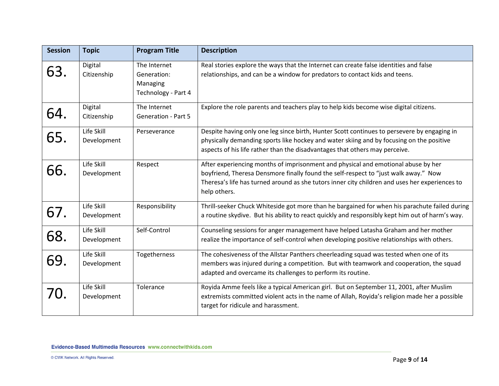| <b>Session</b> | <b>Topic</b>              | <b>Program Title</b>                                           | <b>Description</b>                                                                                                                                                                                                                                                                         |
|----------------|---------------------------|----------------------------------------------------------------|--------------------------------------------------------------------------------------------------------------------------------------------------------------------------------------------------------------------------------------------------------------------------------------------|
| 63.            | Digital<br>Citizenship    | The Internet<br>Generation:<br>Managing<br>Technology - Part 4 | Real stories explore the ways that the Internet can create false identities and false<br>relationships, and can be a window for predators to contact kids and teens.                                                                                                                       |
| 64.            | Digital<br>Citizenship    | The Internet<br><b>Generation - Part 5</b>                     | Explore the role parents and teachers play to help kids become wise digital citizens.                                                                                                                                                                                                      |
| 65.            | Life Skill<br>Development | Perseverance                                                   | Despite having only one leg since birth, Hunter Scott continues to persevere by engaging in<br>physically demanding sports like hockey and water skiing and by focusing on the positive<br>aspects of his life rather than the disadvantages that others may perceive.                     |
| 66.            | Life Skill<br>Development | Respect                                                        | After experiencing months of imprisonment and physical and emotional abuse by her<br>boyfriend, Theresa Densmore finally found the self-respect to "just walk away." Now<br>Theresa's life has turned around as she tutors inner city children and uses her experiences to<br>help others. |
| 67.            | Life Skill<br>Development | Responsibility                                                 | Thrill-seeker Chuck Whiteside got more than he bargained for when his parachute failed during<br>a routine skydive. But his ability to react quickly and responsibly kept him out of harm's way.                                                                                           |
| 68.            | Life Skill<br>Development | Self-Control                                                   | Counseling sessions for anger management have helped Latasha Graham and her mother<br>realize the importance of self-control when developing positive relationships with others.                                                                                                           |
| 69.            | Life Skill<br>Development | Togetherness                                                   | The cohesiveness of the Allstar Panthers cheerleading squad was tested when one of its<br>members was injured during a competition. But with teamwork and cooperation, the squad<br>adapted and overcame its challenges to perform its routine.                                            |
| 70.            | Life Skill<br>Development | Tolerance                                                      | Royida Amme feels like a typical American girl. But on September 11, 2001, after Muslim<br>extremists committed violent acts in the name of Allah, Royida's religion made her a possible<br>target for ridicule and harassment.                                                            |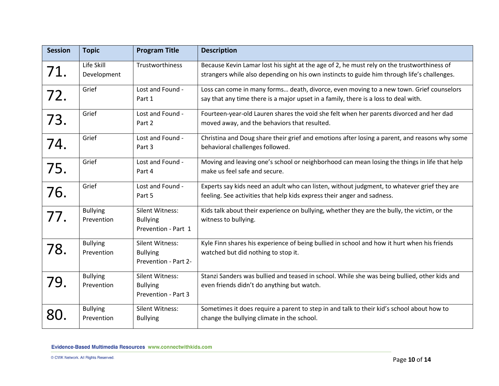| <b>Session</b> | <b>Topic</b>                  | <b>Program Title</b>                                                    | <b>Description</b>                                                                                                                                                                        |
|----------------|-------------------------------|-------------------------------------------------------------------------|-------------------------------------------------------------------------------------------------------------------------------------------------------------------------------------------|
| 71.            | Life Skill<br>Development     | Trustworthiness                                                         | Because Kevin Lamar lost his sight at the age of 2, he must rely on the trustworthiness of<br>strangers while also depending on his own instincts to guide him through life's challenges. |
| 72.            | Grief                         | Lost and Found -<br>Part 1                                              | Loss can come in many forms death, divorce, even moving to a new town. Grief counselors<br>say that any time there is a major upset in a family, there is a loss to deal with.            |
| 73.            | Grief                         | Lost and Found -<br>Part 2                                              | Fourteen-year-old Lauren shares the void she felt when her parents divorced and her dad<br>moved away, and the behaviors that resulted.                                                   |
| 74.            | Grief                         | Lost and Found -<br>Part 3                                              | Christina and Doug share their grief and emotions after losing a parent, and reasons why some<br>behavioral challenges followed.                                                          |
| 75.            | Grief                         | Lost and Found -<br>Part 4                                              | Moving and leaving one's school or neighborhood can mean losing the things in life that help<br>make us feel safe and secure.                                                             |
| 76.            | Grief                         | Lost and Found -<br>Part 5                                              | Experts say kids need an adult who can listen, without judgment, to whatever grief they are<br>feeling. See activities that help kids express their anger and sadness.                    |
| 77.            | <b>Bullying</b><br>Prevention | Silent Witness:<br><b>Bullying</b><br>Prevention - Part 1               | Kids talk about their experience on bullying, whether they are the bully, the victim, or the<br>witness to bullying.                                                                      |
| 78.            | <b>Bullying</b><br>Prevention | Silent Witness:<br><b>Bullying</b><br>Prevention - Part 2-              | Kyle Finn shares his experience of being bullied in school and how it hurt when his friends<br>watched but did nothing to stop it.                                                        |
| 79.            | <b>Bullying</b><br>Prevention | <b>Silent Witness:</b><br><b>Bullying</b><br><b>Prevention - Part 3</b> | Stanzi Sanders was bullied and teased in school. While she was being bullied, other kids and<br>even friends didn't do anything but watch.                                                |
| 80.            | <b>Bullying</b><br>Prevention | <b>Silent Witness:</b><br><b>Bullying</b>                               | Sometimes it does require a parent to step in and talk to their kid's school about how to<br>change the bullying climate in the school.                                                   |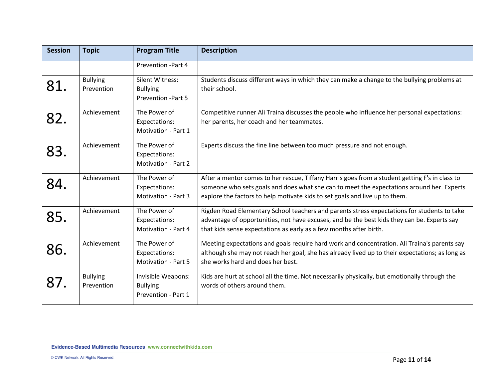| <b>Session</b> | <b>Topic</b>                  | <b>Program Title</b>                                                   | <b>Description</b>                                                                                                                                                                                                                                                         |
|----------------|-------------------------------|------------------------------------------------------------------------|----------------------------------------------------------------------------------------------------------------------------------------------------------------------------------------------------------------------------------------------------------------------------|
|                |                               | <b>Prevention -Part 4</b>                                              |                                                                                                                                                                                                                                                                            |
| 81.            | <b>Bullying</b><br>Prevention | <b>Silent Witness:</b><br><b>Bullying</b><br><b>Prevention -Part 5</b> | Students discuss different ways in which they can make a change to the bullying problems at<br>their school.                                                                                                                                                               |
| 82.            | Achievement                   | The Power of<br>Expectations:<br>Motivation - Part 1                   | Competitive runner Ali Traina discusses the people who influence her personal expectations:<br>her parents, her coach and her teammates.                                                                                                                                   |
| 83.            | Achievement                   | The Power of<br>Expectations:<br><b>Motivation - Part 2</b>            | Experts discuss the fine line between too much pressure and not enough.                                                                                                                                                                                                    |
| 84.            | Achievement                   | The Power of<br>Expectations:<br><b>Motivation - Part 3</b>            | After a mentor comes to her rescue, Tiffany Harris goes from a student getting F's in class to<br>someone who sets goals and does what she can to meet the expectations around her. Experts<br>explore the factors to help motivate kids to set goals and live up to them. |
| 85.            | Achievement                   | The Power of<br>Expectations:<br><b>Motivation - Part 4</b>            | Rigden Road Elementary School teachers and parents stress expectations for students to take<br>advantage of opportunities, not have excuses, and be the best kids they can be. Experts say<br>that kids sense expectations as early as a few months after birth.           |
| 86.            | Achievement                   | The Power of<br>Expectations:<br><b>Motivation - Part 5</b>            | Meeting expectations and goals require hard work and concentration. Ali Traina's parents say<br>although she may not reach her goal, she has already lived up to their expectations; as long as<br>she works hard and does her best.                                       |
| 87.            | <b>Bullying</b><br>Prevention | Invisible Weapons:<br><b>Bullying</b><br>Prevention - Part 1           | Kids are hurt at school all the time. Not necessarily physically, but emotionally through the<br>words of others around them.                                                                                                                                              |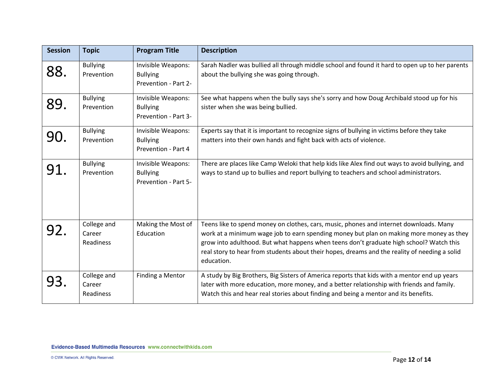| <b>Session</b> | <b>Topic</b>                              | <b>Program Title</b>                                          | <b>Description</b>                                                                                                                                                                                                                                                                                                                                                                          |
|----------------|-------------------------------------------|---------------------------------------------------------------|---------------------------------------------------------------------------------------------------------------------------------------------------------------------------------------------------------------------------------------------------------------------------------------------------------------------------------------------------------------------------------------------|
| 88.            | <b>Bullying</b><br>Prevention             | Invisible Weapons:<br><b>Bullying</b><br>Prevention - Part 2- | Sarah Nadler was bullied all through middle school and found it hard to open up to her parents<br>about the bullying she was going through.                                                                                                                                                                                                                                                 |
| 89.            | <b>Bullying</b><br>Prevention             | Invisible Weapons:<br><b>Bullying</b><br>Prevention - Part 3- | See what happens when the bully says she's sorry and how Doug Archibald stood up for his<br>sister when she was being bullied.                                                                                                                                                                                                                                                              |
| 90.            | <b>Bullying</b><br>Prevention             | Invisible Weapons:<br><b>Bullying</b><br>Prevention - Part 4  | Experts say that it is important to recognize signs of bullying in victims before they take<br>matters into their own hands and fight back with acts of violence.                                                                                                                                                                                                                           |
| 91.            | <b>Bullying</b><br>Prevention             | Invisible Weapons:<br><b>Bullying</b><br>Prevention - Part 5- | There are places like Camp Weloki that help kids like Alex find out ways to avoid bullying, and<br>ways to stand up to bullies and report bullying to teachers and school administrators.                                                                                                                                                                                                   |
| 92.            | College and<br>Career<br><b>Readiness</b> | Making the Most of<br>Education                               | Teens like to spend money on clothes, cars, music, phones and internet downloads. Many<br>work at a minimum wage job to earn spending money but plan on making more money as they<br>grow into adulthood. But what happens when teens don't graduate high school? Watch this<br>real story to hear from students about their hopes, dreams and the reality of needing a solid<br>education. |
| 93.            | College and<br>Career<br>Readiness        | Finding a Mentor                                              | A study by Big Brothers, Big Sisters of America reports that kids with a mentor end up years<br>later with more education, more money, and a better relationship with friends and family.<br>Watch this and hear real stories about finding and being a mentor and its benefits.                                                                                                            |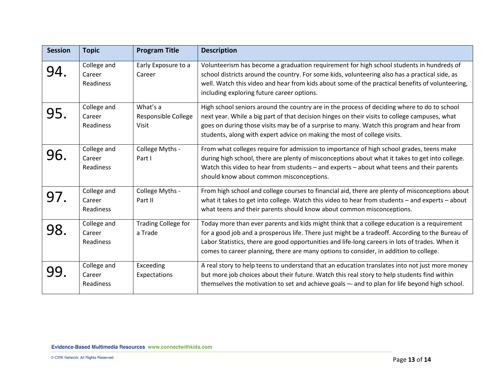| <b>Session</b> | <b>Topic</b>                              | <b>Program Title</b>                            | <b>Description</b>                                                                                                                                                                                                                                                                                                                                                                          |
|----------------|-------------------------------------------|-------------------------------------------------|---------------------------------------------------------------------------------------------------------------------------------------------------------------------------------------------------------------------------------------------------------------------------------------------------------------------------------------------------------------------------------------------|
| 94.            | College and<br>Career<br>Readiness        | Early Exposure to a<br>Career                   | Volunteerism has become a graduation requirement for high school students in hundreds of<br>school districts around the country. For some kids, volunteering also has a practical side, as<br>well. Watch this video and hear from kids about some of the practical benefits of volunteering,<br>including exploring future career options.                                                 |
| 95.            | College and<br>Career<br>Readiness        | What's a<br><b>Responsible College</b><br>Visit | High school seniors around the country are in the process of deciding where to do to school<br>next year. While a big part of that decision hinges on their visits to college campuses, what<br>goes on during those visits may be of a surprise to many. Watch this program and hear from<br>students, along with expert advice on making the most of college visits.                      |
| 96.            | College and<br>Career<br><b>Readiness</b> | College Myths -<br>Part I                       | From what colleges require for admission to importance of high school grades, teens make<br>during high school, there are plenty of misconceptions about what it takes to get into college.<br>Watch this video to hear from students - and experts - about what teens and their parents<br>should know about common misconceptions.                                                        |
| 97.            | College and<br>Career<br>Readiness        | College Myths -<br>Part II                      | From high school and college courses to financial aid, there are plenty of misconceptions about<br>what it takes to get into college. Watch this video to hear from students - and experts - about<br>what teens and their parents should know about common misconceptions.                                                                                                                 |
| 98.            | College and<br>Career<br>Readiness        | <b>Trading College for</b><br>a Trade           | Today more than ever parents and kids might think that a college education is a requirement<br>for a good job and a prosperous life. There just might be a tradeoff. According to the Bureau of<br>Labor Statistics, there are good opportunities and life-long careers in lots of trades. When it<br>comes to career planning, there are many options to consider, in addition to college. |
| 99.            | College and<br>Career<br>Readiness        | Exceeding<br>Expectations                       | A real story to help teens to understand that an education translates into not just more money<br>but more job choices about their future. Watch this real story to help students find within<br>themselves the motivation to set and achieve goals -- and to plan for life beyond high school.                                                                                             |